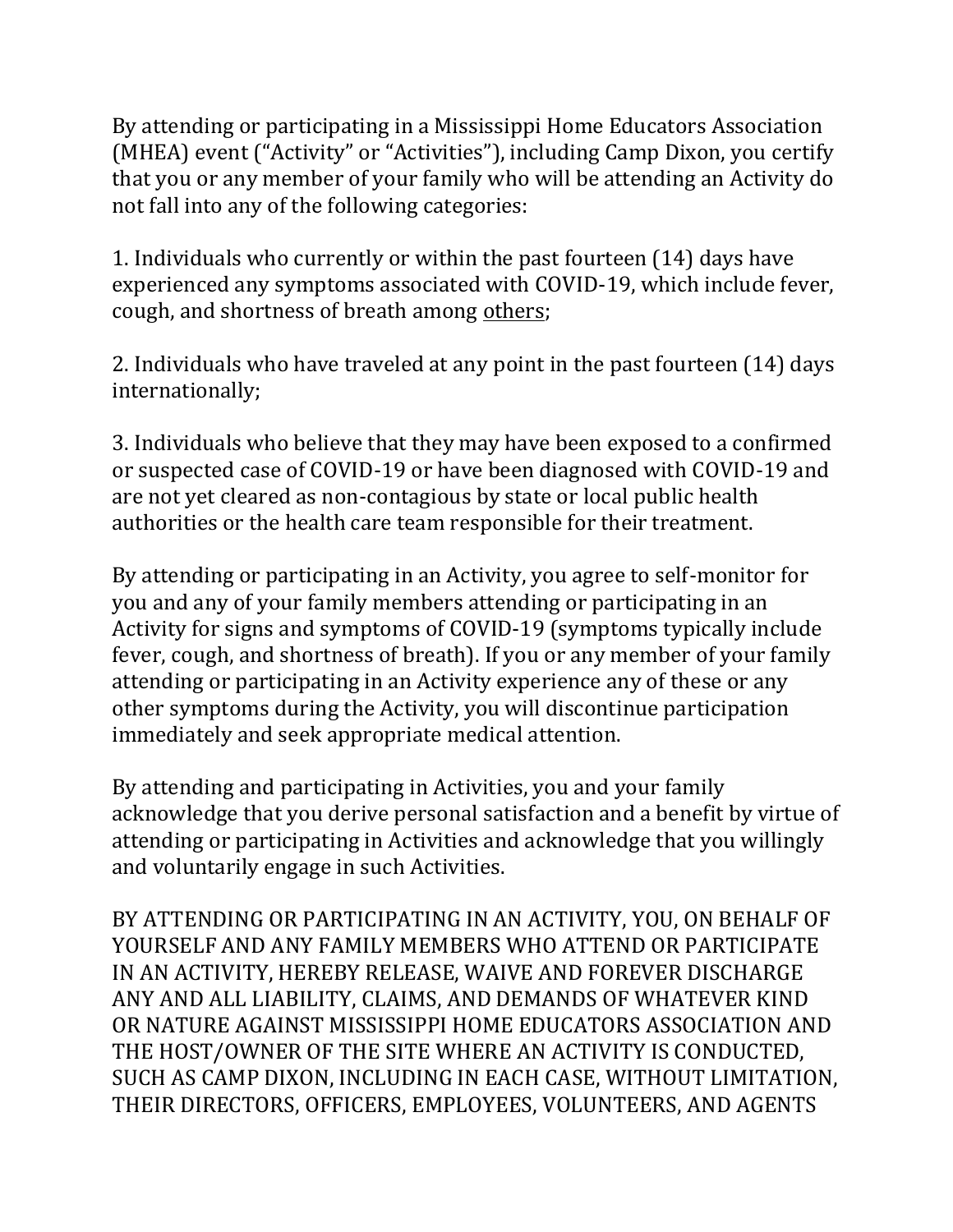By attending or participating in a Mississippi Home Educators Association (MHEA) event ("Activity" or "Activities"), including Camp Dixon, you certify that you or any member of your family who will be attending an Activity do not fall into any of the following categories:

1. Individuals who currently or within the past fourteen (14) days have experienced any symptoms associated with COVID-19, which include fever, cough, and shortness of breath among others;

2. Individuals who have traveled at any point in the past fourteen (14) days internationally;

3. Individuals who believe that they may have been exposed to a confirmed or suspected case of COVID-19 or have been diagnosed with COVID-19 and are not yet cleared as non-contagious by state or local public health authorities or the health care team responsible for their treatment.

By attending or participating in an Activity, you agree to self-monitor for you and any of your family members attending or participating in an Activity for signs and symptoms of COVID-19 (symptoms typically include fever, cough, and shortness of breath). If you or any member of your family attending or participating in an Activity experience any of these or any other symptoms during the Activity, you will discontinue participation immediately and seek appropriate medical attention.

By attending and participating in Activities, you and your family acknowledge that you derive personal satisfaction and a benefit by virtue of attending or participating in Activities and acknowledge that you willingly and voluntarily engage in such Activities.

BY ATTENDING OR PARTICIPATING IN AN ACTIVITY, YOU, ON BEHALF OF YOURSELF AND ANY FAMILY MEMBERS WHO ATTEND OR PARTICIPATE IN AN ACTIVITY, HEREBY RELEASE, WAIVE AND FOREVER DISCHARGE ANY AND ALL LIABILITY, CLAIMS, AND DEMANDS OF WHATEVER KIND OR NATURE AGAINST MISSISSIPPI HOME EDUCATORS ASSOCIATION AND THE HOST/OWNER OF THE SITE WHERE AN ACTIVITY IS CONDUCTED, SUCH AS CAMP DIXON, INCLUDING IN EACH CASE, WITHOUT LIMITATION, THEIR DIRECTORS, OFFICERS, EMPLOYEES, VOLUNTEERS, AND AGENTS